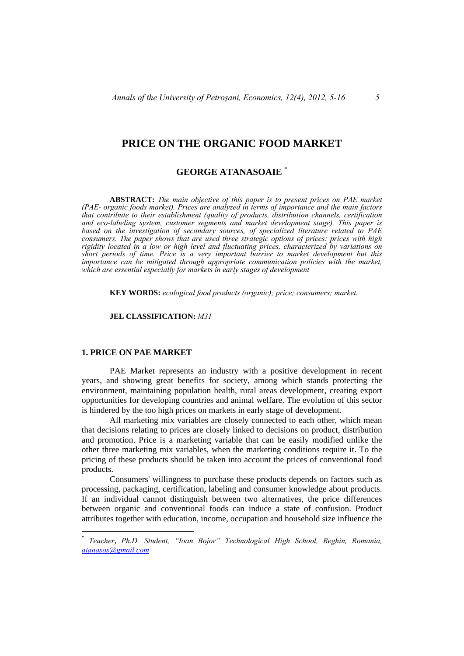# **PRICE ON THE ORGANIC FOOD MARKET**

## **GEORGE ATANASOAIE** \*

 **ABSTRACT:** *The main objective of this paper is to present prices on PAE market (PAE- organic foods market). Prices are analyzed in terms of importance and the main factors that contribute to their establishment (quality of products, distribution channels, certification and eco-labeling system, customer segments and market development stage). This paper is based on the investigation of secondary sources, of specialized literature related to PAE consumers. The paper shows that are used three strategic options of prices: prices with high rigidity located in a low or high level and fluctuating prices, characterized by variations on short periods of time. Price is a very important barrier to market development but this importance can be mitigated through appropriate communication policies with the market, which are essential especially for markets in early stages of development* 

 **KEY WORDS:** *ecological food products (organic); price; consumers; market.*

 **JEL CLASSIFICATION:** *M31*

### **1. PRICE ON PAE MARKET**

 PAE Market represents an industry with a positive development in recent years, and showing great benefits for society, among which stands protecting the environment, maintaining population health, rural areas development, creating export opportunities for developing countries and animal welfare. The evolution of this sector is hindered by the too high prices on markets in early stage of development.

 All marketing mix variables are closely connected to each other, which mean that decisions relating to prices are closely linked to decisions on product, distribution and promotion. Price is a marketing variable that can be easily modified unlike the other three marketing mix variables, when the marketing conditions require it. To the pricing of these products should be taken into account the prices of conventional food products.

 Consumers' willingness to purchase these products depends on factors such as processing, packaging, certification, labeling and consumer knowledge about products. If an individual cannot distinguish between two alternatives, the price differences between organic and conventional foods can induce a state of confusion. Product attributes together with education, income, occupation and household size influence the

<sup>\*</sup> *Teacher*, *Ph.D. Student, "Ioan Bojor" Technological High School, Reghin, Romania, atanasos@gmail.com*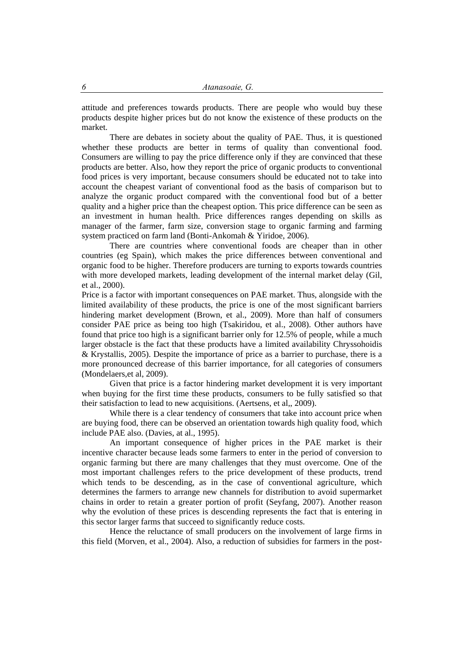attitude and preferences towards products. There are people who would buy these products despite higher prices but do not know the existence of these products on the market.

 There are debates in society about the quality of PAE. Thus, it is questioned whether these products are better in terms of quality than conventional food. Consumers are willing to pay the price difference only if they are convinced that these products are better. Also, how they report the price of organic products to conventional food prices is very important, because consumers should be educated not to take into account the cheapest variant of conventional food as the basis of comparison but to analyze the organic product compared with the conventional food but of a better quality and a higher price than the cheapest option. This price difference can be seen as an investment in human health. Price differences ranges depending on skills as manager of the farmer, farm size, conversion stage to organic farming and farming system practiced on farm land (Bonti-Ankomah & Yiridoe, 2006).

 There are countries where conventional foods are cheaper than in other countries (eg Spain), which makes the price differences between conventional and organic food to be higher. Therefore producers are turning to exports towards countries with more developed markets, leading development of the internal market delay (Gil, et al., 2000).

Price is a factor with important consequences on PAE market. Thus, alongside with the limited availability of these products, the price is one of the most significant barriers hindering market development (Brown, et al., 2009). More than half of consumers consider PAE price as being too high (Tsakiridou, et al., 2008). Other authors have found that price too high is a significant barrier only for 12.5% of people, while a much larger obstacle is the fact that these products have a limited availability Chryssohoidis & Krystallis, 2005). Despite the importance of price as a barrier to purchase, there is a more pronounced decrease of this barrier importance, for all categories of consumers (Mondelaers,et al, 2009).

 Given that price is a factor hindering market development it is very important when buying for the first time these products, consumers to be fully satisfied so that their satisfaction to lead to new acquisitions. (Aertsens, et al,, 2009).

 While there is a clear tendency of consumers that take into account price when are buying food, there can be observed an orientation towards high quality food, which include PAE also. (Davies, at al., 1995).

 An important consequence of higher prices in the PAE market is their incentive character because leads some farmers to enter in the period of conversion to organic farming but there are many challenges that they must overcome. One of the most important challenges refers to the price development of these products, trend which tends to be descending, as in the case of conventional agriculture, which determines the farmers to arrange new channels for distribution to avoid supermarket chains in order to retain a greater portion of profit (Seyfang, 2007). Another reason why the evolution of these prices is descending represents the fact that is entering in this sector larger farms that succeed to significantly reduce costs.

 Hence the reluctance of small producers on the involvement of large firms in this field (Morven, et al., 2004). Also, a reduction of subsidies for farmers in the post-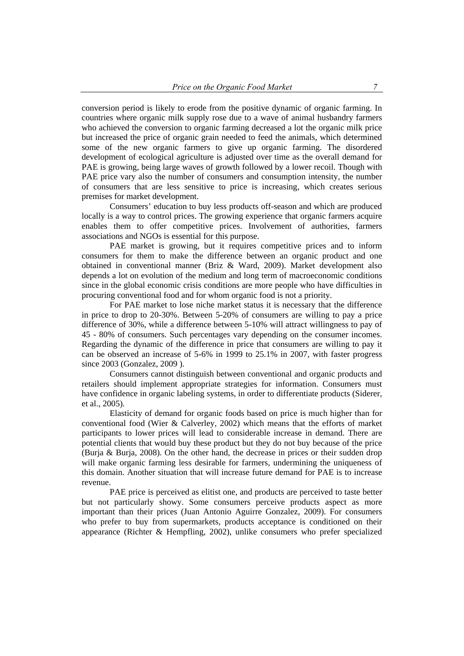conversion period is likely to erode from the positive dynamic of organic farming. In countries where organic milk supply rose due to a wave of animal husbandry farmers who achieved the conversion to organic farming decreased a lot the organic milk price but increased the price of organic grain needed to feed the animals, which determined some of the new organic farmers to give up organic farming. The disordered development of ecological agriculture is adjusted over time as the overall demand for PAE is growing, being large waves of growth followed by a lower recoil. Though with PAE price vary also the number of consumers and consumption intensity, the number of consumers that are less sensitive to price is increasing, which creates serious premises for market development.

 Consumers' education to buy less products off-season and which are produced locally is a way to control prices. The growing experience that organic farmers acquire enables them to offer competitive prices. Involvement of authorities, farmers associations and NGOs is essential for this purpose.

 PAE market is growing, but it requires competitive prices and to inform consumers for them to make the difference between an organic product and one obtained in conventional manner (Briz & Ward, 2009). Market development also depends a lot on evolution of the medium and long term of macroeconomic conditions since in the global economic crisis conditions are more people who have difficulties in procuring conventional food and for whom organic food is not a priority.

 For PAE market to lose niche market status it is necessary that the difference in price to drop to 20-30%. Between 5-20% of consumers are willing to pay a price difference of 30%, while a difference between 5-10% will attract willingness to pay of 45 - 80% of consumers. Such percentages vary depending on the consumer incomes. Regarding the dynamic of the difference in price that consumers are willing to pay it can be observed an increase of 5-6% in 1999 to 25.1% in 2007, with faster progress since 2003 (Gonzalez, 2009 ).

 Consumers cannot distinguish between conventional and organic products and retailers should implement appropriate strategies for information. Consumers must have confidence in organic labeling systems, in order to differentiate products (Siderer, et al., 2005).

 Elasticity of demand for organic foods based on price is much higher than for conventional food (Wier & Calverley, 2002) which means that the efforts of market participants to lower prices will lead to considerable increase in demand. There are potential clients that would buy these product but they do not buy because of the price (Burja & Burja, 2008). On the other hand, the decrease in prices or their sudden drop will make organic farming less desirable for farmers, undermining the uniqueness of this domain. Another situation that will increase future demand for PAE is to increase revenue.

 PAE price is perceived as elitist one, and products are perceived to taste better but not particularly showy. Some consumers perceive products aspect as more important than their prices (Juan Antonio Aguirre Gonzalez, 2009). For consumers who prefer to buy from supermarkets, products acceptance is conditioned on their appearance (Richter & Hempfling, 2002), unlike consumers who prefer specialized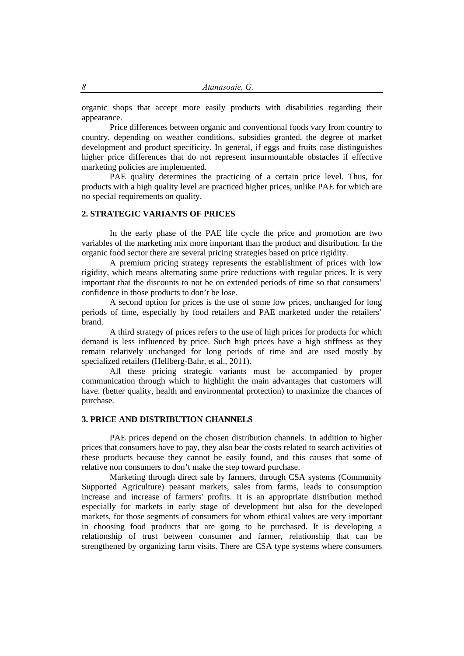organic shops that accept more easily products with disabilities regarding their appearance.

 Price differences between organic and conventional foods vary from country to country, depending on weather conditions, subsidies granted, the degree of market development and product specificity. In general, if eggs and fruits case distinguishes higher price differences that do not represent insurmountable obstacles if effective marketing policies are implemented.

 PAE quality determines the practicing of a certain price level. Thus, for products with a high quality level are practiced higher prices, unlike PAE for which are no special requirements on quality.

#### **2. STRATEGIC VARIANTS OF PRICES**

 In the early phase of the PAE life cycle the price and promotion are two variables of the marketing mix more important than the product and distribution. In the organic food sector there are several pricing strategies based on price rigidity.

 A premium pricing strategy represents the establishment of prices with low rigidity, which means alternating some price reductions with regular prices. It is very important that the discounts to not be on extended periods of time so that consumers' confidence in those products to don't be lose.

 A second option for prices is the use of some low prices, unchanged for long periods of time, especially by food retailers and PAE marketed under the retailers' brand.

 A third strategy of prices refers to the use of high prices for products for which demand is less influenced by price. Such high prices have a high stiffness as they remain relatively unchanged for long periods of time and are used mostly by specialized retailers (Hellberg-Bahr, et al., 2011).

 All these pricing strategic variants must be accompanied by proper communication through which to highlight the main advantages that customers will have. (better quality, health and environmental protection) to maximize the chances of purchase.

#### **3. PRICE AND DISTRIBUTION CHANNELS**

 PAE prices depend on the chosen distribution channels. In addition to higher prices that consumers have to pay, they also bear the costs related to search activities of these products because they cannot be easily found, and this causes that some of relative non consumers to don't make the step toward purchase.

 Marketing through direct sale by farmers, through CSA systems (Community Supported Agriculture) peasant markets, sales from farms, leads to consumption increase and increase of farmers' profits. It is an appropriate distribution method especially for markets in early stage of development but also for the developed markets, for those segments of consumers for whom ethical values are very important in choosing food products that are going to be purchased. It is developing a relationship of trust between consumer and farmer, relationship that can be strengthened by organizing farm visits. There are CSA type systems where consumers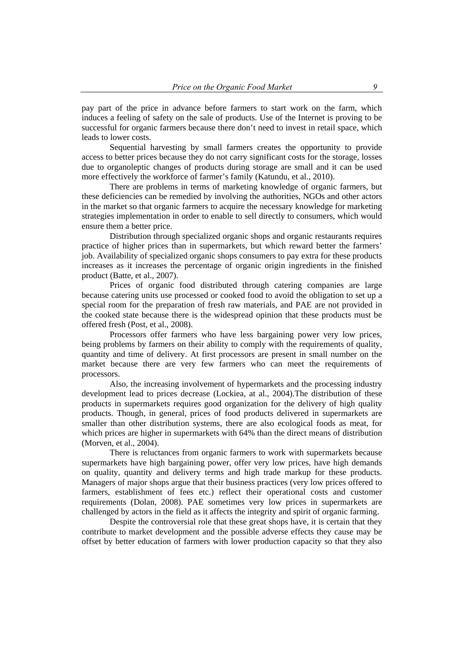pay part of the price in advance before farmers to start work on the farm, which induces a feeling of safety on the sale of products. Use of the Internet is proving to be successful for organic farmers because there don't need to invest in retail space, which leads to lower costs.

 Sequential harvesting by small farmers creates the opportunity to provide access to better prices because they do not carry significant costs for the storage, losses due to organoleptic changes of products during storage are small and it can be used more effectively the workforce of farmer's family (Katundu, et al., 2010).

 There are problems in terms of marketing knowledge of organic farmers, but these deficiencies can be remedied by involving the authorities, NGOs and other actors in the market so that organic farmers to acquire the necessary knowledge for marketing strategies implementation in order to enable to sell directly to consumers, which would ensure them a better price.

 Distribution through specialized organic shops and organic restaurants requires practice of higher prices than in supermarkets, but which reward better the farmers' job. Availability of specialized organic shops consumers to pay extra for these products increases as it increases the percentage of organic origin ingredients in the finished product (Batte, et al., 2007).

 Prices of organic food distributed through catering companies are large because catering units use processed or cooked food to avoid the obligation to set up a special room for the preparation of fresh raw materials, and PAE are not provided in the cooked state because there is the widespread opinion that these products must be offered fresh (Post, et al., 2008).

 Processors offer farmers who have less bargaining power very low prices, being problems by farmers on their ability to comply with the requirements of quality, quantity and time of delivery. At first processors are present in small number on the market because there are very few farmers who can meet the requirements of processors.

 Also, the increasing involvement of hypermarkets and the processing industry development lead to prices decrease (Lockiea, at al., 2004).The distribution of these products in supermarkets requires good organization for the delivery of high quality products. Though, in general, prices of food products delivered in supermarkets are smaller than other distribution systems, there are also ecological foods as meat, for which prices are higher in supermarkets with 64% than the direct means of distribution (Morven, et al., 2004).

 There is reluctances from organic farmers to work with supermarkets because supermarkets have high bargaining power, offer very low prices, have high demands on quality, quantity and delivery terms and high trade markup for these products. Managers of major shops argue that their business practices (very low prices offered to farmers, establishment of fees etc.) reflect their operational costs and customer requirements (Dolan, 2008). PAE sometimes very low prices in supermarkets are challenged by actors in the field as it affects the integrity and spirit of organic farming.

 Despite the controversial role that these great shops have, it is certain that they contribute to market development and the possible adverse effects they cause may be offset by better education of farmers with lower production capacity so that they also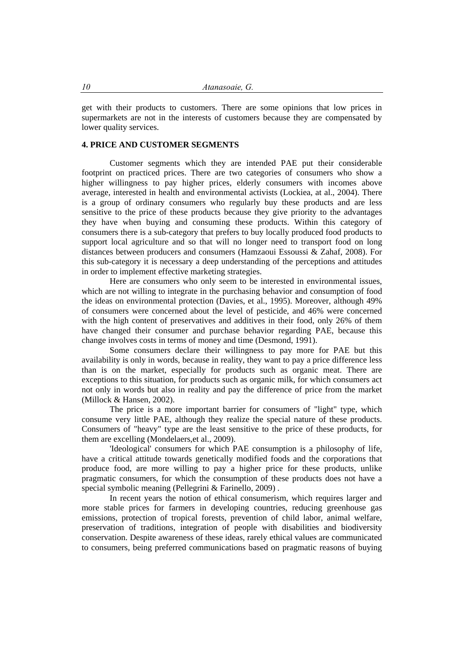get with their products to customers. There are some opinions that low prices in supermarkets are not in the interests of customers because they are compensated by lower quality services.

#### **4. PRICE AND CUSTOMER SEGMENTS**

 Customer segments which they are intended PAE put their considerable footprint on practiced prices. There are two categories of consumers who show a higher willingness to pay higher prices, elderly consumers with incomes above average, interested in health and environmental activists (Lockiea, at al., 2004). There is a group of ordinary consumers who regularly buy these products and are less sensitive to the price of these products because they give priority to the advantages they have when buying and consuming these products. Within this category of consumers there is a sub-category that prefers to buy locally produced food products to support local agriculture and so that will no longer need to transport food on long distances between producers and consumers (Hamzaoui Essoussi & Zahaf, 2008). For this sub-category it is necessary a deep understanding of the perceptions and attitudes in order to implement effective marketing strategies.

 Here are consumers who only seem to be interested in environmental issues, which are not willing to integrate in the purchasing behavior and consumption of food the ideas on environmental protection (Davies, et al., 1995). Moreover, although 49% of consumers were concerned about the level of pesticide, and 46% were concerned with the high content of preservatives and additives in their food, only 26% of them have changed their consumer and purchase behavior regarding PAE, because this change involves costs in terms of money and time (Desmond, 1991).

 Some consumers declare their willingness to pay more for PAE but this availability is only in words, because in reality, they want to pay a price difference less than is on the market, especially for products such as organic meat. There are exceptions to this situation, for products such as organic milk, for which consumers act not only in words but also in reality and pay the difference of price from the market (Millock & Hansen, 2002).

 The price is a more important barrier for consumers of "light" type, which consume very little PAE, although they realize the special nature of these products. Consumers of "heavy" type are the least sensitive to the price of these products, for them are excelling (Mondelaers,et al., 2009).

 'Ideological' consumers for which PAE consumption is a philosophy of life, have a critical attitude towards genetically modified foods and the corporations that produce food, are more willing to pay a higher price for these products, unlike pragmatic consumers, for which the consumption of these products does not have a special symbolic meaning (Pellegrini & Farinello, 2009) .

 In recent years the notion of ethical consumerism, which requires larger and more stable prices for farmers in developing countries, reducing greenhouse gas emissions, protection of tropical forests, prevention of child labor, animal welfare, preservation of traditions, integration of people with disabilities and biodiversity conservation. Despite awareness of these ideas, rarely ethical values are communicated to consumers, being preferred communications based on pragmatic reasons of buying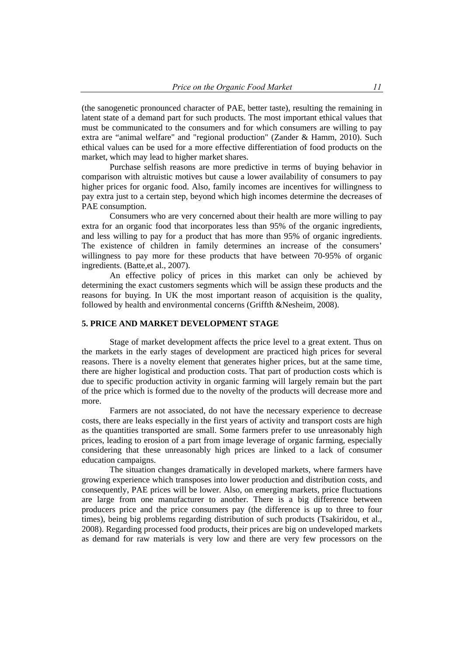(the sanogenetic pronounced character of PAE, better taste), resulting the remaining in latent state of a demand part for such products. The most important ethical values that must be communicated to the consumers and for which consumers are willing to pay extra are "animal welfare" and "regional production" (Zander & Hamm, 2010). Such ethical values can be used for a more effective differentiation of food products on the market, which may lead to higher market shares.

 Purchase selfish reasons are more predictive in terms of buying behavior in comparison with altruistic motives but cause a lower availability of consumers to pay higher prices for organic food. Also, family incomes are incentives for willingness to pay extra just to a certain step, beyond which high incomes determine the decreases of PAE consumption.

 Consumers who are very concerned about their health are more willing to pay extra for an organic food that incorporates less than 95% of the organic ingredients, and less willing to pay for a product that has more than 95% of organic ingredients. The existence of children in family determines an increase of the consumers' willingness to pay more for these products that have between 70-95% of organic ingredients. (Batte,et al., 2007).

 An effective policy of prices in this market can only be achieved by determining the exact customers segments which will be assign these products and the reasons for buying. In UK the most important reason of acquisition is the quality, followed by health and environmental concerns (Griffth &Nesheim, 2008).

#### **5. PRICE AND MARKET DEVELOPMENT STAGE**

 Stage of market development affects the price level to a great extent. Thus on the markets in the early stages of development are practiced high prices for several reasons. There is a novelty element that generates higher prices, but at the same time, there are higher logistical and production costs. That part of production costs which is due to specific production activity in organic farming will largely remain but the part of the price which is formed due to the novelty of the products will decrease more and more.

 Farmers are not associated, do not have the necessary experience to decrease costs, there are leaks especially in the first years of activity and transport costs are high as the quantities transported are small. Some farmers prefer to use unreasonably high prices, leading to erosion of a part from image leverage of organic farming, especially considering that these unreasonably high prices are linked to a lack of consumer education campaigns.

 The situation changes dramatically in developed markets, where farmers have growing experience which transposes into lower production and distribution costs, and consequently, PAE prices will be lower. Also, on emerging markets, price fluctuations are large from one manufacturer to another. There is a big difference between producers price and the price consumers pay (the difference is up to three to four times), being big problems regarding distribution of such products (Tsakiridou, et al., 2008). Regarding processed food products, their prices are big on undeveloped markets as demand for raw materials is very low and there are very few processors on the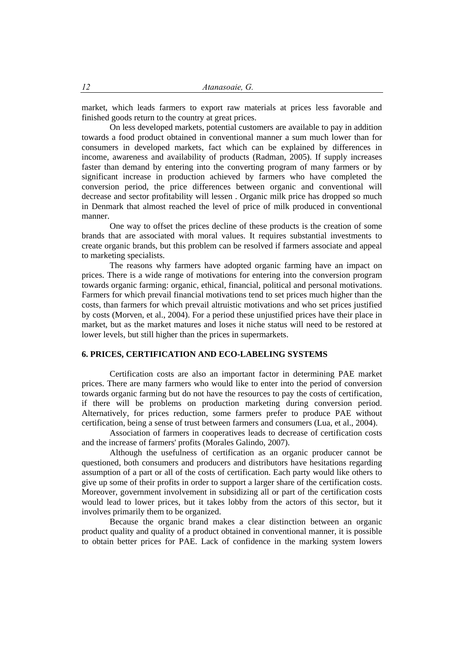market, which leads farmers to export raw materials at prices less favorable and finished goods return to the country at great prices.

 On less developed markets, potential customers are available to pay in addition towards a food product obtained in conventional manner a sum much lower than for consumers in developed markets, fact which can be explained by differences in income, awareness and availability of products (Radman, 2005). If supply increases faster than demand by entering into the converting program of many farmers or by significant increase in production achieved by farmers who have completed the conversion period, the price differences between organic and conventional will decrease and sector profitability will lessen . Organic milk price has dropped so much in Denmark that almost reached the level of price of milk produced in conventional manner.

 One way to offset the prices decline of these products is the creation of some brands that are associated with moral values. It requires substantial investments to create organic brands, but this problem can be resolved if farmers associate and appeal to marketing specialists.

 The reasons why farmers have adopted organic farming have an impact on prices. There is a wide range of motivations for entering into the conversion program towards organic farming: organic, ethical, financial, political and personal motivations. Farmers for which prevail financial motivations tend to set prices much higher than the costs, than farmers for which prevail altruistic motivations and who set prices justified by costs (Morven, et al., 2004). For a period these unjustified prices have their place in market, but as the market matures and loses it niche status will need to be restored at lower levels, but still higher than the prices in supermarkets.

## **6. PRICES, CERTIFICATION AND ECO-LABELING SYSTEMS**

 Certification costs are also an important factor in determining PAE market prices. There are many farmers who would like to enter into the period of conversion towards organic farming but do not have the resources to pay the costs of certification, if there will be problems on production marketing during conversion period. Alternatively, for prices reduction, some farmers prefer to produce PAE without certification, being a sense of trust between farmers and consumers (Lua, et al., 2004).

 Association of farmers in cooperatives leads to decrease of certification costs and the increase of farmers' profits (Morales Galindo, 2007).

 Although the usefulness of certification as an organic producer cannot be questioned, both consumers and producers and distributors have hesitations regarding assumption of a part or all of the costs of certification. Each party would like others to give up some of their profits in order to support a larger share of the certification costs. Moreover, government involvement in subsidizing all or part of the certification costs would lead to lower prices, but it takes lobby from the actors of this sector, but it involves primarily them to be organized.

 Because the organic brand makes a clear distinction between an organic product quality and quality of a product obtained in conventional manner, it is possible to obtain better prices for PAE. Lack of confidence in the marking system lowers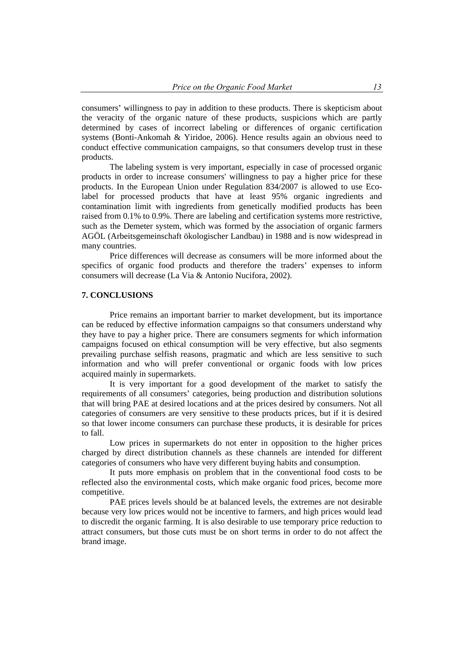consumers' willingness to pay in addition to these products. There is skepticism about the veracity of the organic nature of these products, suspicions which are partly determined by cases of incorrect labeling or differences of organic certification systems (Bonti-Ankomah & Yiridoe, 2006). Hence results again an obvious need to conduct effective communication campaigns, so that consumers develop trust in these products.

 The labeling system is very important, especially in case of processed organic products in order to increase consumers' willingness to pay a higher price for these products. In the European Union under Regulation 834/2007 is allowed to use Ecolabel for processed products that have at least 95% organic ingredients and contamination limit with ingredients from genetically modified products has been raised from 0.1% to 0.9%. There are labeling and certification systems more restrictive, such as the Demeter system, which was formed by the association of organic farmers AGÖL (Arbeitsgemeinschaft ökologischer Landbau) in 1988 and is now widespread in many countries.

 Price differences will decrease as consumers will be more informed about the specifics of organic food products and therefore the traders' expenses to inform consumers will decrease (La Via & Antonio Nucifora, 2002).

### **7. CONCLUSIONS**

 Price remains an important barrier to market development, but its importance can be reduced by effective information campaigns so that consumers understand why they have to pay a higher price. There are consumers segments for which information campaigns focused on ethical consumption will be very effective, but also segments prevailing purchase selfish reasons, pragmatic and which are less sensitive to such information and who will prefer conventional or organic foods with low prices acquired mainly in supermarkets.

 It is very important for a good development of the market to satisfy the requirements of all consumers' categories, being production and distribution solutions that will bring PAE at desired locations and at the prices desired by consumers. Not all categories of consumers are very sensitive to these products prices, but if it is desired so that lower income consumers can purchase these products, it is desirable for prices to fall.

 Low prices in supermarkets do not enter in opposition to the higher prices charged by direct distribution channels as these channels are intended for different categories of consumers who have very different buying habits and consumption.

 It puts more emphasis on problem that in the conventional food costs to be reflected also the environmental costs, which make organic food prices, become more competitive.

 PAE prices levels should be at balanced levels, the extremes are not desirable because very low prices would not be incentive to farmers, and high prices would lead to discredit the organic farming. It is also desirable to use temporary price reduction to attract consumers, but those cuts must be on short terms in order to do not affect the brand image.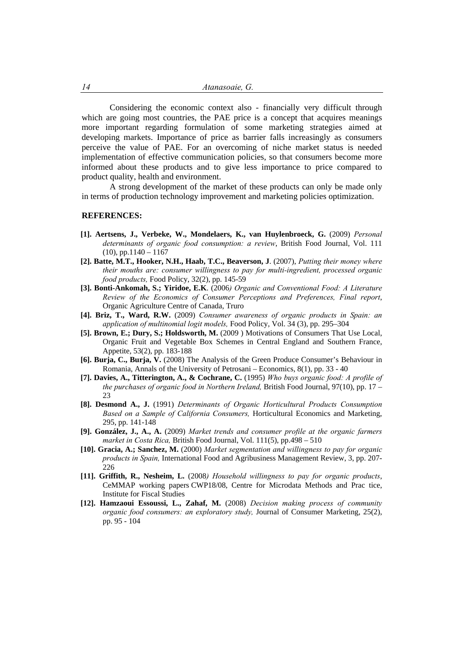Considering the economic context also - financially very difficult through which are going most countries, the PAE price is a concept that acquires meanings more important regarding formulation of some marketing strategies aimed at developing markets. Importance of price as barrier falls increasingly as consumers perceive the value of PAE. For an overcoming of niche market status is needed implementation of effective communication policies, so that consumers become more informed about these products and to give less importance to price compared to product quality, health and environment.

 A strong development of the market of these products can only be made only in terms of production technology improvement and marketing policies optimization.

#### **REFERENCES:**

- **[1]. Aertsens, J., Verbeke, W., Mondelaers, K., van Huylenbroeck, G.** (2009) *Personal determinants of organic food consumption: a review*, British Food Journal, Vol. 111  $(10)$ , pp.1140 – 1167
- **[2]. Batte, M.T., Hooker, N.H., Haab, T.C., Beaverson, J**. (2007), *Putting their money where their mouths are: consumer willingness to pay for multi-ingredient, processed organic food products,* Food Policy, 32(2), pp. 145-59
- **[3]. Bonti-Ankomah, S.; Yiridoe, E.K**. (2006*) Organic and Conventional Food: A Literature Review of the Economics of Consumer Perceptions and Preferences, Final report*, Organic Agriculture Centre of Canada, Truro
- **[4]. Briz, T., Ward, R.W.** (2009) *Consumer awareness of organic products in Spain: an application of multinomial logit models,* Food Policy, Vol. 34 (3), pp. 295–304
- **[5]. Brown, E.; Dury, S.; Holdsworth, M.** (2009 ) Motivations of Consumers That Use Local, Organic Fruit and Vegetable Box Schemes in Central England and Southern France, Appetite, 53(2), pp. 183-188
- **[6]. Burja, C., Burja, V.** (2008) The Analysis of the Green Produce Consumer's Behaviour in Romania, Annals of the University of Petrosani – Economics, 8(1), pp. 33 - 40
- **[7]. Davies, A., Titterington, A., & Cochrane, C.** (1995) *Who buys organic food: A profile of the purchases of organic food in Northern Ireland,* British Food Journal, 97(10), pp. 17 – 23
- **[8]. Desmond A., J.** (1991) *Determinants of Organic Horticultural Products Consumption Based on a Sample of California Consumers,* Horticultural Economics and Marketing, 295, pp. 141-148
- **[9]. González, J., A., A.** (2009) *Market trends and consumer profile at the organic farmers market in Costa Rica,* British Food Journal, Vol. 111(5), pp.498 – 510
- **[10]. Gracia, A.; Sanchez, M.** (2000) *Market segmentation and willingness to pay for organic products in Spain,* International Food and Agribusiness Management Review, 3, pp. 207- 226
- **[11]. Griffith, R., Nesheim, L.** (2008*) Household willingness to pay for organic products*, CeMMAP working papers CWP18/08, Centre for Microdata Methods and Prac tice, Institute for Fiscal Studies
- **[12]. Hamzaoui Essoussi, L., Zahaf, M.** (2008) *Decision making process of community organic food consumers: an exploratory study,* Journal of Consumer Marketing, 25(2), pp. 95 - 104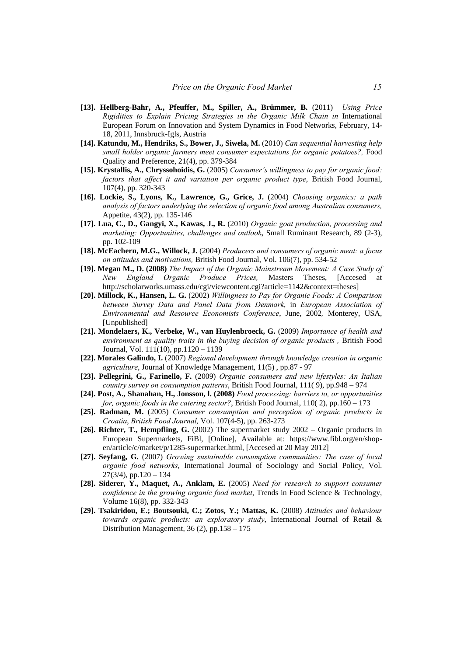- **[13]. Hellberg-Bahr, A., Pfeuffer, M., Spiller, A., Brümmer, B.** (2011) *Using Price Rigidities to Explain Pricing Strategies in the Organic Milk Chain in International* European Forum on Innovation and System Dynamics in Food Networks, February, 14- 18, 2011, Innsbruck-Igls, Austria
- **[14]. Katundu, M., Hendriks, S., Bower, J., Siwela, M.** (2010) *Can sequential harvesting help small holder organic farmers meet consumer expectations for organic potatoes?,* Food Quality and Preference, 21(4), pp. 379-384
- **[15]. Krystallis, A., Chryssohoidis, G.** (2005) *Consumer's willingness to pay for organic food: factors that affect it and variation per organic product type*, British Food Journal, 107(4), pp. 320-343
- **[16]. Lockie, S., Lyons, K., Lawrence, G., Grice, J.** (2004) *Choosing organics: a path analysis of factors underlying the selection of organic food among Australian consumers,* Appetite, 43(2), pp. 135-146
- **[17]. Lua, C., D., Gangyi, X., Kawas, J., R.** (2010) *Organic goat production, processing and marketing: Opportunities, challenges and outlook*, Small Ruminant Research, 89 (2-3), pp. 102-109
- **[18]. McEachern, M.G., Willock, J.** (2004) *Producers and consumers of organic meat: a focus on attitudes and motivations,* British Food Journal, Vol. 106(7), pp. 534-52
- **[19]. Megan M., D. (2008)** *The Impact of the Organic Mainstream Movement: A Case Study of New England Organic Produce Prices,* Masters Theses, [Accesed at http://scholarworks.umass.edu/cgi/viewcontent.cgi?article=1142&context=theses]
- **[20]. Millock, K., Hansen, L. G.** (2002) *Willingness to Pay for Organic Foods: A Comparison between Survey Data and Panel Data from Denmark*, in *European Association of Environmental and Resource Economists Conference*, June, 2002*,* Monterey, USA, [Unpublished]
- **[21]. Mondelaers, K., Verbeke, W., van Huylenbroeck, G.** (2009) *Importance of health and environment as quality traits in the buying decision of organic products ,* British Food Journal, Vol. 111(10), pp.1120 – 1139
- **[22]. Morales Galindo, I.** (2007) *Regional development through knowledge creation in organic agriculture*, Journal of Knowledge Management, 11(5) , pp.87 - 97
- **[23]. Pellegrini, G., Farinello, F.** (2009) *Organic consumers and new lifestyles: An Italian country survey on consumption patterns*, British Food Journal, 111( 9), pp.948 – 974
- **[24]. Post, A., Shanahan, H., Jonsson, l. (2008)** *Food processing: barriers to, or opportunities for, organic foods in the catering sector?*, British Food Journal, 110( 2), pp.160 – 173
- **[25]. Radman, M.** (2005) *Consumer consumption and perception of organic products in Croatia*, *British Food Journal,* Vol. 107(4-5), pp. 263-273
- **[26]. Richter, T., Hempfling, G.** (2002) The supermarket study 2002 Organic products in European Supermarkets, FiBl, [Online], Available at: https://www.fibl.org/en/shopen/article/c/market/p/1285-supermarket.html, [Accesed at 20 May 2012]
- **[27]. Seyfang, G.** (2007) *Growing sustainable consumption communities: The case of local organic food networks*, International Journal of Sociology and Social Policy, Vol.  $27(3/4)$ , pp.120 – 134
- **[28]. Siderer, Y., Maquet, A., Anklam, E.** (2005) *Need for research to support consumer confidence in the growing organic food market*, Trends in Food Science & Technology, Volume 16(8), pp. 332-343
- **[29]. Tsakiridou, E.; Boutsouki, C.; Zotos, Y.; Mattas, K.** (2008) *Attitudes and behaviour towards organic products: an exploratory study*, International Journal of Retail & Distribution Management, 36 (2), pp.158 – 175